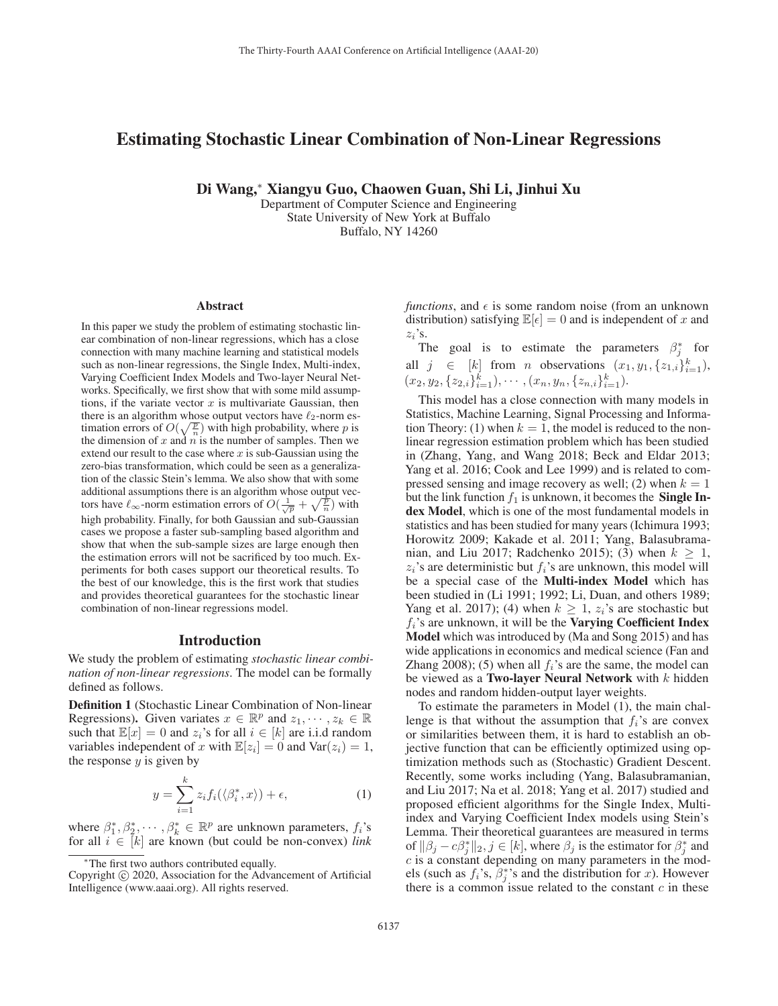# Estimating Stochastic Linear Combination of Non-Linear Regressions

Di Wang,<sup>∗</sup> Xiangyu Guo, Chaowen Guan, Shi Li, Jinhui Xu

Department of Computer Science and Engineering State University of New York at Buffalo Buffalo, NY 14260

#### Abstract

In this paper we study the problem of estimating stochastic linear combination of non-linear regressions, which has a close connection with many machine learning and statistical models such as non-linear regressions, the Single Index, Multi-index, Varying Coefficient Index Models and Two-layer Neural Networks. Specifically, we first show that with some mild assumptions, if the variate vector  $x$  is multivariate Gaussian, then there is an algorithm whose output vectors have  $\ell_2$ -norm estimation errors of  $O(\sqrt{\frac{p}{n}})$  with high probability, where p is<br>the dimension of x and n is the number of samples. Then we the dimension of  $x$  and  $n$  is the number of samples. Then we extend our result to the case where  $x$  is sub-Gaussian using the zero-bias transformation, which could be seen as a generalization of the classic Stein's lemma. We also show that with some additional assumptions there is an algorithm whose output vectors have  $\ell_{\infty}$ -norm estimation errors of  $O(\frac{1}{\sqrt{p}} + \sqrt{\frac{p}{p}})$  with high probability. Finally, for both Gaussian and sub-Gaussian cases we propose a faster sub-sampling based algorithm and show that when the sub-sample sizes are large enough then the estimation errors will not be sacrificed by too much. Experiments for both cases support our theoretical results. To the best of our knowledge, this is the first work that studies and provides theoretical guarantees for the stochastic linear combination of non-linear regressions model.

### Introduction

We study the problem of estimating *stochastic linear combination of non-linear regressions*. The model can be formally defined as follows.

Definition 1 (Stochastic Linear Combination of Non-linear Regressions). Given variates  $x \in \mathbb{R}^p$  and  $z_1, \dots, z_k \in \mathbb{R}$ such that  $\mathbb{E}[x]=0$  and  $z_i$ 's for all  $i \in [k]$  are i.i.d random variables independent of x with  $\mathbb{E}[z_i]=0$  and  $\text{Var}(z_i)=1$ , the response  $y$  is given by

$$
y = \sum_{i=1}^{k} z_i f_i(\langle \beta_i^*, x \rangle) + \epsilon,
$$
 (1)

where  $\beta_1^*, \beta_2^*, \cdots, \beta_k^* \in \mathbb{R}^p$  are unknown parameters,  $f_i$ 's for all  $i \in [k]$  are known (but could be non-convex) *link* for all  $i \in [k]$  are known (but could be non-convex) *link*  *functions*, and  $\epsilon$  is some random noise (from an unknown distribution) satisfying  $\mathbb{E}[\epsilon]=0$  and is independent of x and  $z_i$ 's.  $z_i$ 's.<br>T

The goal is to estimate the parameters  $\beta_j^*$  for all  $j \in [k]$  from *n* observations  $(x_1, y_1, \{z_1, i\}_{i=1}^k)$ ,<br>  $(x_2, y_2, \{z_2, i\}_{i=1}^k)$ ,  $(x_1, y_1, \{z_1, i\}_{i=1}^k)$  $(x_2, y_2, \{z_{2,i}\}_{i=1}^k), \cdots, (x_n, y_n, \{z_{n,i}\}_{i=1}^k).$ 

This model has a close connection with many models in Statistics, Machine Learning, Signal Processing and Information Theory: (1) when  $k = 1$ , the model is reduced to the nonlinear regression estimation problem which has been studied in (Zhang, Yang, and Wang 2018; Beck and Eldar 2013; Yang et al. 2016; Cook and Lee 1999) and is related to compressed sensing and image recovery as well; (2) when  $k = 1$ but the link function  $f_1$  is unknown, it becomes the **Single In**dex Model, which is one of the most fundamental models in statistics and has been studied for many years (Ichimura 1993; Horowitz 2009; Kakade et al. 2011; Yang, Balasubramanian, and Liu 2017; Radchenko 2015); (3) when  $k > 1$ ,  $z_i$ 's are deterministic but  $f_i$ 's are unknown, this model will be a special case of the Multi-index Model which has been studied in (Li 1991; 1992; Li, Duan, and others 1989; Yang et al. 2017); (4) when  $k \geq 1$ ,  $z_i$ 's are stochastic but  $f_i$ 's are unknown, it will be the **Varying Coefficient Index** Model which was introduced by (Ma and Song 2015) and has wide applications in economics and medical science (Fan and Zhang 2008); (5) when all  $f_i$ 's are the same, the model can be viewed as a Two-layer Neural Network with  $k$  hidden nodes and random hidden-output layer weights.

To estimate the parameters in Model (1), the main challenge is that without the assumption that  $f_i$ 's are convex or similarities between them, it is hard to establish an objective function that can be efficiently optimized using optimization methods such as (Stochastic) Gradient Descent. Recently, some works including (Yang, Balasubramanian, and Liu 2017; Na et al. 2018; Yang et al. 2017) studied and proposed efficient algorithms for the Single Index, Multiindex and Varying Coefficient Index models using Stein's Lemma. Their theoretical guarantees are measured in terms of  $\|\beta_j - c\beta_j^*\|_2, j \in [k]$ , where  $\beta_j$  is the estimator for  $\beta_j^*$  and  $c$  is a constant depending on many parameters in the mod $c$  is a constant depending on many parameters in the models (such as  $f_i$ 's,  $\bar{\beta}_j^*$ 's and the distribution for x). However<br>there is a common issue related to the constant c in these there is a common issue related to the constant  $c$  in these

<sup>∗</sup>The first two authors contributed equally.

Copyright  $\odot$  2020, Association for the Advancement of Artificial Intelligence (www.aaai.org). All rights reserved.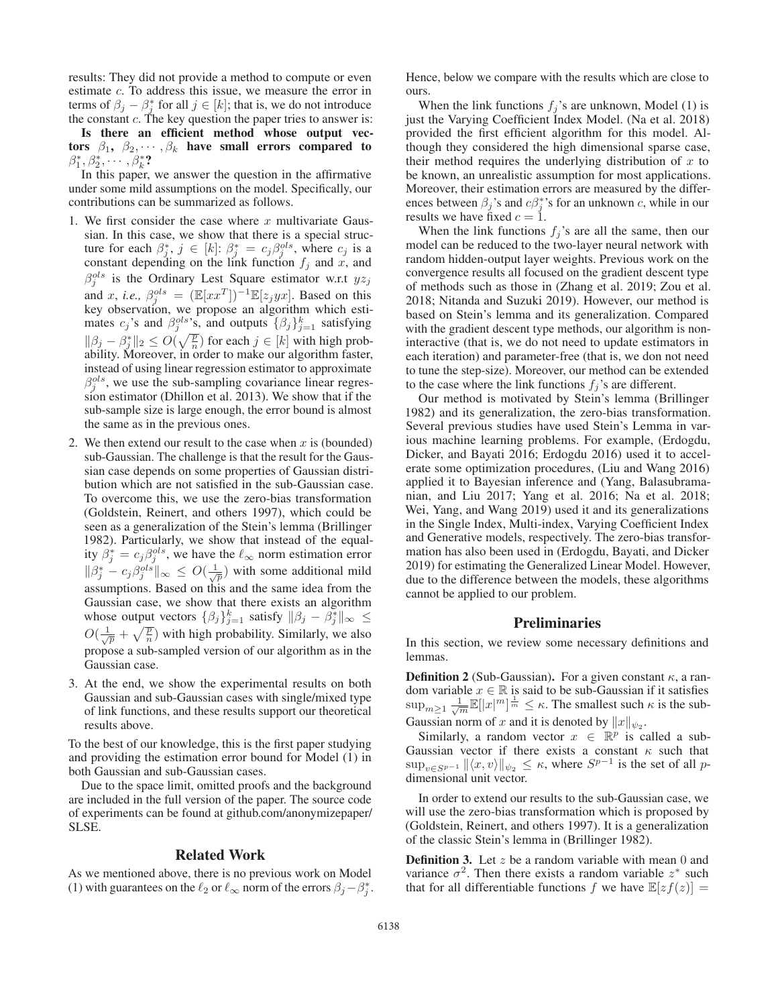results: They did not provide a method to compute or even estimate c. To address this issue, we measure the error in terms of  $\beta_j - \beta_j^*$  for all  $j \in [k]$ ; that is, we do not introduce<br>the constant c. The key question the paper tries to answer is: the constant  $c$ . The key question the paper tries to answer is:

Is there an efficient method whose output vectors  $\beta_1$ ,  $\beta_2$ , ...,  $\beta_k$  have small errors compared to  $\beta_1^*, \beta_2^*, \cdots, \beta_k^*$ ?<br>In this paper

In this paper, we answer the question in the affirmative under some mild assumptions on the model. Specifically, our contributions can be summarized as follows.

- 1. We first consider the case where  $x$  multivariate Gaussian. In this case, we show that there is a special structure for each  $\beta_j^*, j \in [k]$ :  $\beta_j^* = c_j \beta_j^{ols}$ , where  $c_j$  is a constant depending on the link function  $f_i$  and  $x$  and constant depending on the link function  $f_j$  and x, and  $g^{ols}$  is the Ordinary Lest Square estimator with  $2\alpha$ .  $\beta_i^{ols}$  is the Ordinary Lest Square estimator w.r.t  $yz_j$  $j_j^{ols}$  is the Ordinary Lest Square estimator w.r.t  $yz_j$ <br>  $yz_j$ and x, *i.e.*,  $\beta_j^{ols} = (\mathbb{E}[xx^T])^{-1}\mathbb{E}[z_jyx]$ . Based on this key observation, we propose an algorithm which estimates  $c_j$ 's and  $\beta_j^{ols}$ 's, and outputs  $\{\beta_j\}_{j=1}^k$  satisfying  $\|\beta_j - \beta_j^*\|_2 \le O(\sqrt{\frac{p}{n}})$  for each  $j \in [k]$  with high prob-<br>ability Moreover in order to make our algorithm faster ability. Moreover, in order to make our algorithm faster, instead of using linear regression estimator to approximate  $\beta_1^{ols}$ , we use the sub-sampling covariance linear regres-<br>sion estimator (Dhillon et al. 2013). We show that if the sion estimator (Dhillon et al. 2013). We show that if the sub-sample size is large enough, the error bound is almost the same as in the previous ones.
- 2. We then extend our result to the case when  $x$  is (bounded) sub-Gaussian. The challenge is that the result for the Gaussian case depends on some properties of Gaussian distribution which are not satisfied in the sub-Gaussian case. To overcome this, we use the zero-bias transformation (Goldstein, Reinert, and others 1997), which could be seen as a generalization of the Stein's lemma (Brillinger 1982). Particularly, we show that instead of the equality  $\beta_j^* = c_j \beta_j^{ols}$ , we have the  $\ell_{\infty}$  norm estimation error  $\|\beta_j^* - c_j\beta_j^{ols}\|_{\infty} \leq O(\frac{1}{\sqrt{p}})$  with some additional mild assumptions. Based on this and the same idea from the Gaussian case, we show that there exists an algorithm whose output vectors  $\{\beta_j\}_{j=1}^k$  satisfy  $\|\beta_j - \beta_j^*\|_{\infty} \le$  $O(\frac{1}{\sqrt{p}} + \sqrt{\frac{p}{n}})$  with high probability. Similarly, we also propose a sub-sampled version of our algorithm as in the Gaussian case.
- 3. At the end, we show the experimental results on both Gaussian and sub-Gaussian cases with single/mixed type of link functions, and these results support our theoretical results above.

To the best of our knowledge, this is the first paper studying and providing the estimation error bound for Model (1) in both Gaussian and sub-Gaussian cases.

Due to the space limit, omitted proofs and the background are included in the full version of the paper. The source code of experiments can be found at github.com/anonymizepaper/ SLSE.

#### Related Work

As we mentioned above, there is no previous work on Model (1) with guarantees on the  $\ell_2$  or  $\ell_\infty$  norm of the errors  $\beta_j - \beta_j^*$ . Hence, below we compare with the results which are close to ours.

When the link functions  $f_i$ 's are unknown, Model (1) is just the Varying Coefficient Index Model. (Na et al. 2018) provided the first efficient algorithm for this model. Although they considered the high dimensional sparse case, their method requires the underlying distribution of  $x$  to be known, an unrealistic assumption for most applications. Moreover, their estimation errors are measured by the differences between  $\beta_j$ 's and  $c\beta_j^*$ 's for an unknown c, while in our results we have fixed  $c = 1$ results we have fixed  $c = 1$ .

When the link functions  $f_j$ 's are all the same, then our model can be reduced to the two-layer neural network with random hidden-output layer weights. Previous work on the convergence results all focused on the gradient descent type of methods such as those in (Zhang et al. 2019; Zou et al. 2018; Nitanda and Suzuki 2019). However, our method is based on Stein's lemma and its generalization. Compared with the gradient descent type methods, our algorithm is noninteractive (that is, we do not need to update estimators in each iteration) and parameter-free (that is, we don not need to tune the step-size). Moreover, our method can be extended to the case where the link functions  $f_i$ 's are different.

Our method is motivated by Stein's lemma (Brillinger 1982) and its generalization, the zero-bias transformation. Several previous studies have used Stein's Lemma in various machine learning problems. For example, (Erdogdu, Dicker, and Bayati 2016; Erdogdu 2016) used it to accelerate some optimization procedures, (Liu and Wang 2016) applied it to Bayesian inference and (Yang, Balasubramanian, and Liu 2017; Yang et al. 2016; Na et al. 2018; Wei, Yang, and Wang 2019) used it and its generalizations in the Single Index, Multi-index, Varying Coefficient Index and Generative models, respectively. The zero-bias transformation has also been used in (Erdogdu, Bayati, and Dicker 2019) for estimating the Generalized Linear Model. However, due to the difference between the models, these algorithms cannot be applied to our problem.

## **Preliminaries**

In this section, we review some necessary definitions and lemmas.

**Definition 2** (Sub-Gaussian). For a given constant  $\kappa$ , a random variable  $x \in \mathbb{R}$  is said to be sub-Gaussian if it satisfies<br>sup  $\sum_{n=1}^{\infty} \frac{1}{\mathbb{E}[|x|^m] \cdot \frac{1}{m}} \leq \kappa$ . The smallest such  $\kappa$  is the sub- $\sup_{m\geq 1} \frac{1}{\sqrt{m}} \mathbb{E}[|x|^m]$ ]  $\frac{1}{m} \leq \kappa$ . The smallest such  $\kappa$  is the sub-Gaussian norm of x and it is denoted by  $||x||_{\psi_2}$ .

Similarly, a random vector  $x \in \mathbb{R}^p$  is called a sub-Gaussian vector if there exists a constant  $\kappa$  such that  $\sup_{v \in S^{p-1}} ||\langle x, v \rangle||_{\psi_2} \leq \kappa$ , where  $S^{p-1}$  is the set of all pdimensional unit vector.

In order to extend our results to the sub-Gaussian case, we will use the zero-bias transformation which is proposed by (Goldstein, Reinert, and others 1997). It is a generalization of the classic Stein's lemma in (Brillinger 1982).

**Definition 3.** Let  $z$  be a random variable with mean 0 and variance  $\sigma^2$ . Then there exists a random variable  $z^*$  such that for all differentiable functions f we have  $\mathbb{E}[zf(z)] =$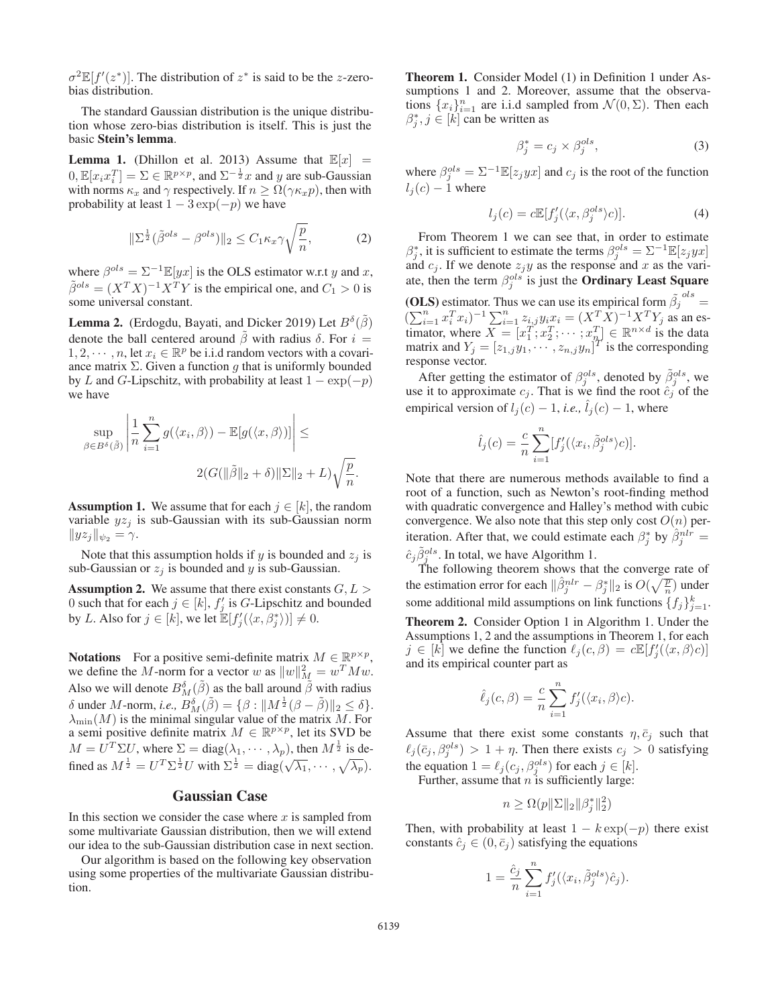$\sigma^2 \mathbb{E}[f'(z^*)]$ . The distribution of  $z^*$  is said to be the *z*-zerobias distribution.

The standard Gaussian distribution is the unique distribution whose zero-bias distribution is itself. This is just the basic Stein's lemma.

**Lemma 1.** (Dhillon et al. 2013) Assume that  $\mathbb{E}[x]$  =  $[0, \mathbb{E}[x_i x_i^T] = \Sigma \in \mathbb{R}^{p \times p}$ , and  $\Sigma^{-\frac{1}{2}}x$  and y are sub-Gaussian with norms  $\kappa_{-}$  and  $\gamma$  respectively If  $n > \Omega(\gamma \kappa_{-} n)$  then with with norms  $\kappa_x$  and  $\gamma$  respectively. If  $n \geq \Omega(\gamma \kappa_x p)$ , then with probability at least  $1 - 3 \exp(-p)$  we have

$$
\|\Sigma^{\frac{1}{2}}(\tilde{\beta}^{ols} - \beta^{ols})\|_2 \le C_1 \kappa_x \gamma \sqrt{\frac{p}{n}},\tag{2}
$$

where  $\beta^{ols} = \Sigma^{-1} \mathbb{E}[yx]$  is the OLS estimator w.r.t y and x,  $\tilde{\beta}^{ols} = (X^T X)^{-1} X^T Y$  is the empirical one, and  $C_1 > 0$  is some universal constant.

**Lemma 2.** (Erdogdu, Bayati, and Dicker 2019) Let  $B^{\delta}(\tilde{\beta})$ denote the ball centered around  $\tilde{\beta}$  with radius  $\delta$ . For  $i =$  $1, 2, \dots, n$ , let  $x_i \in \mathbb{R}^p$  be i.i.d random vectors with a covariance matrix  $\Sigma$ . Given a function g that is uniformly bounded by L and G-Lipschitz, with probability at least  $1 - \exp(-p)$ we have

$$
\sup_{\beta \in B^{\delta}(\tilde{\beta})} \left| \frac{1}{n} \sum_{i=1}^{n} g(\langle x_i, \beta \rangle) - \mathbb{E}[g(\langle x, \beta \rangle)] \right| \le
$$
  

$$
2(G(\|\tilde{\beta}\|_2 + \delta) \|\Sigma\|_2 + L) \sqrt{\frac{p}{n}}.
$$

**Assumption 1.** We assume that for each  $j \in [k]$ , the random variable  $yz_i$  is sub-Gaussian with its sub-Gaussian norm  $||yz_j||_{\psi_2} = \gamma.$ 

Note that this assumption holds if y is bounded and  $z_i$  is sub-Gaussian or  $z_i$  is bounded and y is sub-Gaussian.

**Assumption 2.** We assume that there exist constants  $G, L$ 0 such that for each  $j \in [k]$ ,  $f'_j$  is G-Lipschitz and bounded<br>by  $I$ , Also for  $i \in [k]$ , we let  $\mathbb{F}[f'(\ell x, \mathbb{R}^*)] \neq 0$ by L. Also for  $j \in [k]$ , we let  $\mathbb{E}[f'_j(\langle x, \beta_j^* \rangle)] \neq 0$ .

**Notations** For a positive semi-definite matrix  $M \in \mathbb{R}^{p \times p}$ , we define the M-norm for a vector w as  $||w||_M^2 = w^T M w$ .<br>Also we will denote  $B^{\delta}$  ( $\tilde{\beta}$ ) as the ball around  $\tilde{\beta}$  with radius Also we will denote  $B_{\tilde{M}}^{\delta}(\tilde{\beta})$  as the ball around  $\tilde{\beta}$  with radius  $\delta$  with  $\alpha$  as  $B_{\tilde{M}}^{\delta}(\tilde{\beta}) = \beta \cdot |M_{\tilde{M}}^{\frac{1}{2}}(\beta - \tilde{\beta})|$  $δ$  under *M*-norm, *i.e.*,  $\overline{B}_{M}^{δ}(\tilde{β}) = \{β : ||M^{\frac{1}{2}}(β - \tilde{β})||_2 ≤ δ\}.$ <br>  $λ_{min}(M)$  is the minimal singular value of the matrix *M* For  $\lambda_{\min}(M)$  is the minimal singular value of the matrix M. For a semi positive definite matrix  $M \in \mathbb{R}^{p \times p}$ , let its SVD be  $M = U^T \Sigma U$ , where  $\Sigma = \text{diag}(\lambda_1, \dots, \lambda_p)$ , then  $M^{\frac{1}{2}}$  is defined as  $M^{\frac{1}{2}} = U^T \Sigma^{\frac{1}{2}} U$  with  $\Sigma^{\frac{1}{2}} = \text{diag}(\sqrt{\Sigma})$ fined as  $M^{\frac{1}{2}} = U^T \Sigma^{\frac{1}{2}} U$  with  $\Sigma^{\frac{1}{2}} = \text{diag}(\sqrt{\lambda_1}, \dots, \sqrt{\lambda_p}).$ 

# Gaussian Case

In this section we consider the case where  $x$  is sampled from some multivariate Gaussian distribution, then we will extend our idea to the sub-Gaussian distribution case in next section.

Our algorithm is based on the following key observation using some properties of the multivariate Gaussian distribution.

Theorem 1. Consider Model (1) in Definition 1 under Assumptions 1 and 2. Moreover, assume that the observations  $\{x_i\}_{i=1}^n$  are i.i.d sampled from  $\mathcal{N}(0, \Sigma)$ . Then each  $\beta^*$   $i \in [k]$  can be written as  $\beta_j^*, j \in [k]$  can be written as

$$
\beta_j^* = c_j \times \beta_j^{ols},\tag{3}
$$

where  $\beta_j^{ols} = \Sigma^{-1} \mathbb{E}[z_j yx]$  and  $c_j$  is the root of the function  $l_1(c) = 1$  where  $l_i(c) - 1$  where

$$
l_j(c) = c \mathbb{E}[f'_j(\langle x, \beta_j^{ols} \rangle c)]. \tag{4}
$$

From Theorem 1 we can see that, in order to estimate  $\beta_j^*$ , it is sufficient to estimate the terms  $\beta_j^{ols} = \sum_{i=1}^{n} \mathbb{E}[z_j y x]$ <br>and  $c_i$ . If we denote  $z_i y_i$  as the response and x as the variand  $c_j$ . If we denote  $z_jy$  as the response and x as the vari-<br>ate, then the term  $\beta^{ols}$  is just the **Ordinary Least Square** ate, then the term  $\beta_j^{ols}$  is just the **Ordinary Least Square** 

(OLS) estimator. Thus we can use its empirical form  $\beta_j$ <br> $(\sum_{i=1}^n x_i^T x_i)^{-1} \sum_{i=1}^n x_i^T x_i = (Y^T Y)^{-1} Y^T Y$ ols  $\frac{1}{2}$  $(\sum_{i=1}^n x_i^T x_i)^{-1} \sum_{i=1}^n z_{i,j} y_i x_i = (X^T X)^{-1} X^T Y_j$  as an es-<br>timetor, where  $X = [x^T, x^T, \dots, x^T] \in \mathbb{R}^{n \times d}$  is the data timator, where  $X = [x_1^T; x_2^T; \dots; x_n^T] \in \mathbb{R}^{n \times d}$  is the data<br>matrix and  $Y_i = [z_1, y_1, \dots, z_n, y_n]^T$  is the corresponding matrix and  $Y_j = [z_{1,j}y_1, \cdots, z_{n,j}y_n]^T$  is the corresponding<br>response vector response vector.

After getting the estimator of  $\beta_j^{ols}$ , denoted by  $\tilde{\beta}_j^{ols}$ , we e it to approximate  $c_j$ . That is we find the root  $\hat{c}_j$  of the use it to approximate  $c_j$ . That is we find the root  $\hat{c}_j$  of the empirical version of  $l_i(c) - 1$ , *i.e.*,  $l_i(c) - 1$ , where

$$
\hat{l}_j(c) = \frac{c}{n} \sum_{i=1}^n [f'_j(\langle x_i, \tilde{\beta}_j^{ols} \rangle c)].
$$

Note that there are numerous methods available to find a root of a function, such as Newton's root-finding method with quadratic convergence and Halley's method with cubic convergence. We also note that this step only cost  $O(n)$  periteration. After that, we could estimate each  $\beta_j^*$  by  $\hat{\beta}_j^{nlr} = \hat{\beta}_j^{ols}$ . Letter that the contract that  $\hat{\beta}_j^{nlr}$ .  $\hat{c}_j \tilde{\beta}_j^{ols}$ . In total, we have Algorithm 1.<br>The following theorem shows that

The following theorem shows that the converge rate of the estimation error for each  $\|\hat{\beta}_j^{nlr} - \beta_j^*\|_2$  is  $O(\sqrt{\frac{p}{n}})$  under some additional mild assumptions on link functions  $\{f_j\}_{j=1}^k$ .

Theorem 2. Consider Option 1 in Algorithm 1. Under the Assumptions 1, 2 and the assumptions in Theorem 1, for each  $j \in [k]$  we define the function  $\ell_j(c, \beta) = c \mathbb{E}[f'_j(\langle x, \beta \rangle c)]$ <br>and its empirical counter part as and its empirical counter part as

$$
\hat{\ell}_j(c,\beta) = \frac{c}{n} \sum_{i=1}^n f'_j(\langle x_i, \beta \rangle c).
$$

Assume that there exist some constants  $\eta$ ,  $\bar{c}_j$  such that  $\ell_j(\bar{c}_j, \beta_j^{ols}) > 1 + \eta$ . Then there exists  $c_j > 0$  satisfying<br>the equation 1  $\ell_j(\epsilon_j, \beta_j^{ols})$  for each  $j \in [1,1]$ the equation  $1 = \ell_j(c_j, \beta_j^{ols})$  for each  $j \in [k]$ .<br>Further assume that *n* is sufficiently large:

Further, assume that  $n$  is sufficiently large:

$$
n \geq \Omega(p\|\Sigma\|_2 \|\beta_j^*\|_2^2)
$$

Then, with probability at least  $1 - k \exp(-p)$  there exist constants  $\hat{c}_j \in (0, \bar{c}_j)$  satisfying the equations

$$
1 = \frac{\hat{c}_j}{n} \sum_{i=1}^n f'_j(\langle x_i, \tilde{\beta}_j^{ols} \rangle \hat{c}_j).
$$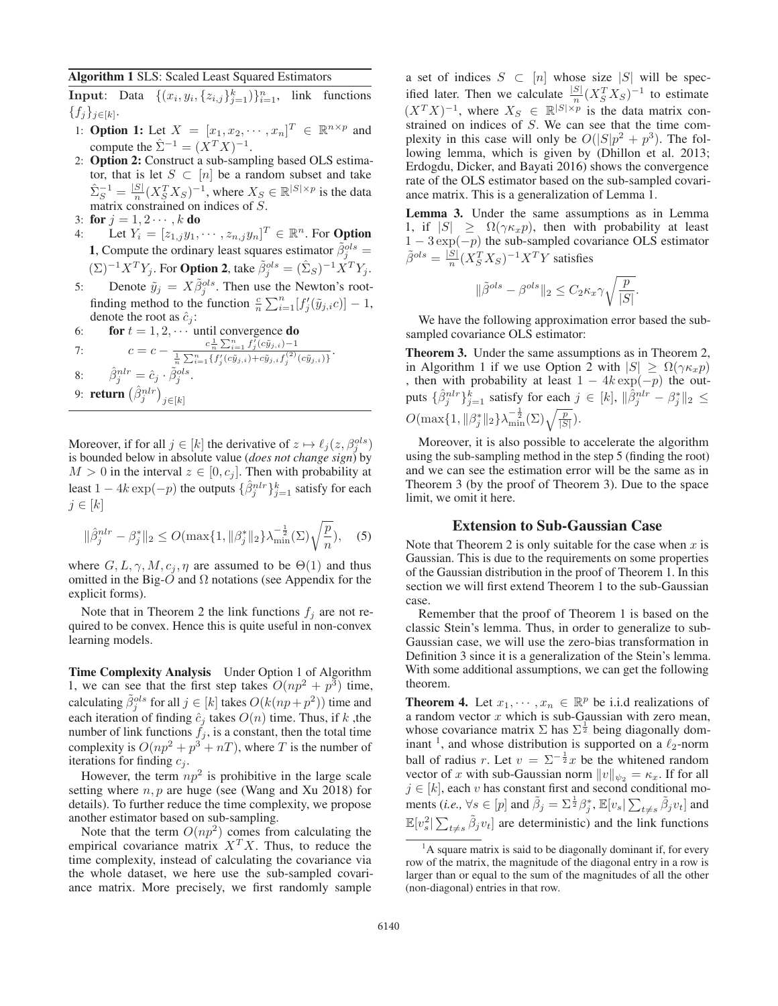## Algorithm 1 SLS: Scaled Least Squared Estimators

**Input**: Data  $\{(x_i, y_i, \{z_{i,j}\}_{j=1}^k)\}_{i=1}^n$ , link functions  ${f_i}_{i\in[k]}.$ 

- 1: **Option 1:** Let  $X = [x_1, x_2, \cdots, x_n]^T \in \mathbb{R}^{n \times p}$  and compute the  $\hat{\Sigma}^{-1} = (Y^T Y)^{-1}$ compute the  $\hat{\Sigma}^{-1} = (X^T X)^{-1}$ .
- 2: Option 2: Construct a sub-sampling based OLS estimator, that is let  $S \subset [n]$  be a random subset and take  $\hat{\Sigma}_S^{-1} = \frac{|S|}{n} (X_S^T X_S)^{-1}$ , where  $X_S \in \mathbb{R}^{|S| \times p}$  is the data matrix constrained on indices of S matrix constrained on indices of S.<br>**for**  $i = 1, 2, \ldots, k$  **do**
- 3: for  $j = 1, 2 \cdots, k$  do<br>4. Let  $Y_i = [z_{1-i}y_1]$
- 4: Let  $Y_i = [z_{1,j}y_1, \cdots, z_{n,j}y_n]^T \in \mathbb{R}^n$ . For **Option**<br>1. Compute the ordinary legation research  $\tilde{z}_{ols}$ **1,** Compute the ordinary least squares estimator  $\tilde{\beta}_j^{ols} = \frac{1}{2} \sum_{k=1}^{N} \sum_{k=1}^{N} \sum_{k=1}^{N} \hat{p}_k^{ols}$  $(\Sigma)^{-1} X^T Y_j$ . For **Option 2**, take  $\tilde{\beta}_j^{ols} = (\hat{\Sigma}_S)^{-1} X^T Y_j$ .
- 5: Denote  $\tilde{y}_j = X \tilde{\beta}_j^{ols}$ . Then use the Newton's root-<br>finding method to the function  ${}^c \nabla^n \left[ f'(\tilde{\alpha}_j, \alpha) \right]$  1 finding method to the function  $\frac{c}{n} \sum_{i=1}^{n} [f'_j(\tilde{y}_{j,i}c)] - 1$ , denote the root as  $\hat{c}_i$ :
- 6: **for**  $t = 1, 2, \cdots$  until convergence **do**

7: 
$$
c = c - \frac{c_{\overline{n}}^1 \sum_{i=1}^n f_j^f(c\tilde{y}_{j,i}) - 1}{\frac{1}{n} \sum_{i=1}^n \{f_j^f(c\tilde{y}_{j,i}) + c\tilde{y}_{j,i}f_j^{(2)}(c\tilde{y}_{j,i})\}}.
$$

8:  $\hat{\beta}_j^{nlr} = \hat{c}_j \cdot \tilde{\beta}_j^{ols}.$ 

9: **return**  $(\hat{\beta}_j^{nlr})_{j \in [k]}$ 

Moreover, if for all  $j \in [k]$  the derivative of  $z \mapsto \ell_i(z, \beta_i^{ols})$ Moreover, if for all  $j \in [k]$  the derivative of  $z \mapsto \ell_j(z, \beta_j^{ss})$ <br>is bounded below in absolute value (*does not change sign*) by  $M > 0$  in the interval  $z \in [0, c_j]$ . Then with probability at least  $1 - 4k \exp(-p)$  the outputs  $\{\hat{\beta}_j^{nlr}\}_{j=1}^k$  satisfy for each  $i \in [k]$  $j \in [k]$ 

$$
\|\hat{\beta}_j^{nlr} - \beta_j^*\|_2 \le O(\max\{1, \|\beta_j^*\|_2\} \lambda_{\min}^{-\frac{1}{2}}(\Sigma) \sqrt{\frac{p}{n}}), \quad (5)
$$

where  $G, L, \gamma, M, c_j, \eta$  are assumed to be  $\Theta(1)$  and thus omitted in the Big-O and  $\Omega$  notations (see Appendix for the explicit forms).

Note that in Theorem 2 the link functions  $f_i$  are not required to be convex. Hence this is quite useful in non-convex learning models.

Time Complexity Analysis Under Option 1 of Algorithm 1, we can see that the first step takes  $O(np^2 + p^3)$  time, calculating  $\tilde{\beta}_j^{ols}$  for all  $j \in [k]$  takes  $O(k(np+p^2))$  time and<br>each iteration of finding  $\hat{e}_i$  takes  $O(n)$  time. Thus, if k the each iteration of finding  $\hat{c}_j$  takes  $O(n)$  time. Thus, if k, the number of link functions  $f_j$  is a constant then the total time number of link functions  $f_j$ , is a constant, then the total time complexity is  $O(np^2 + p^3 + nT)$ , where T is the number of iterations for finding  $c_j$ .

However, the term  $np^2$  is prohibitive in the large scale setting where  $n, p$  are huge (see (Wang and Xu 2018) for details). To further reduce the time complexity, we propose another estimator based on sub-sampling.

Note that the term  $O(np^2)$  comes from calculating the empirical covariance matrix  $X<sup>T</sup>X$ . Thus, to reduce the time complexity, instead of calculating the covariance via the whole dataset, we here use the sub-sampled covariance matrix. More precisely, we first randomly sample

a set of indices  $S \subset [n]$  whose size  $|S|$  will be specified later. Then we calculate  $\frac{|S|}{n} (X_S^T X_S)^{-1}$  to estimate  $(X^T X)^{-1}$  whore  $X \subset \mathbb{R}^{|S| \times p}$  is the data matrix can  $(X^T X)^{-1}$ , where  $X_S \in \mathbb{R}^{|S| \times p}$  is the data matrix constrained on indices of S. We can see that the time comstrained on indices of S. We can see that the time complexity in this case will only be  $O(|S|p^2 + p^3)$ . The following lemma, which is given by (Dhillon et al. 2013; Erdogdu, Dicker, and Bayati 2016) shows the convergence rate of the OLS estimator based on the sub-sampled covariance matrix. This is a generalization of Lemma 1.

Lemma 3. Under the same assumptions as in Lemma 1, if  $|S| \geq \Omega(\gamma \kappa_x p)$ , then with probability at least  $1 - 3 \exp(-p)$  the sub-sampled covariance OLS estimator  $\tilde{\beta}^{ols} = \frac{|\tilde{S}|}{n} (X_S^T X_S)^{-1} X^T Y$  satisfies

$$
\|\tilde{\beta}^{ols} - \beta^{ols}\|_2 \le C_2 \kappa_x \gamma \sqrt{\frac{p}{|S|}}
$$

We have the following approximation error based the subsampled covariance OLS estimator:

Theorem 3. Under the same assumptions as in Theorem 2, in Algorithm 1 if we use Option 2 with  $|S| \geq \Omega(\gamma \kappa_x p)$ , then with probability at least  $1 - 4k \exp(-p)$  the outputs  $\{\hat{\beta}_j^{nlr}\}_{j=1}^k$  satisfy for each  $j \in [k]$ ,  $\|\hat{\beta}_j^{nlr} - \beta_j^*\|_2 \le$  $O(\max\{1, ||\beta_j^*||_2\}\lambda_{\min}^{-\frac{1}{2}}(\Sigma)\sqrt{\frac{p}{|S|}}).$ 

Moreover, it is also possible to accelerate the algorithm using the sub-sampling method in the step 5 (finding the root) and we can see the estimation error will be the same as in Theorem 3 (by the proof of Theorem 3). Due to the space limit, we omit it here.

### Extension to Sub-Gaussian Case

Note that Theorem 2 is only suitable for the case when  $x$  is Gaussian. This is due to the requirements on some properties of the Gaussian distribution in the proof of Theorem 1. In this section we will first extend Theorem 1 to the sub-Gaussian case.

Remember that the proof of Theorem 1 is based on the classic Stein's lemma. Thus, in order to generalize to sub-Gaussian case, we will use the zero-bias transformation in Definition 3 since it is a generalization of the Stein's lemma. With some additional assumptions, we can get the following theorem.

**Theorem 4.** Let  $x_1, \dots, x_n \in \mathbb{R}^p$  be i.i.d realizations of a random vector  $x$  which is sub-Gaussian with zero mean, whose covariance matrix  $\Sigma$  has  $\Sigma^{\frac{1}{2}}$  being diagonally dom-<br>inant <sup>1</sup> and whose distribution is supported on a  $\ell_2$ -norm inant <sup>1</sup>, and whose distribution is supported on a  $\ell_2$ -norm ball of radius r. Let  $v = \sum_{n=0}^{\infty} \frac{1}{2}x$  be the whitened random vector of x with sub-Gaussian norm  $||v||_{\infty} = \kappa$ . If for all vector of x with sub-Gaussian norm  $||v||_{\psi_2} = \kappa_x$ . If for all  $j \in [k]$ , each v has constant first and second conditional moments (*i.e.*,  $\forall s \in [p]$  and  $\tilde{\beta}_j = \sum_{i=1}^{\frac{1}{2}} \beta_j^*$ ,  $\mathbb{E}[v_s | \sum_{t \neq s} \tilde{\beta}_j v_t]$  and  $\mathbb{E}[v_s^2] \sum_{t \neq s} \tilde{\beta}_j v_t]$  are deterministic) and the link functions

<sup>&</sup>lt;sup>1</sup>A square matrix is said to be diagonally dominant if, for every row of the matrix, the magnitude of the diagonal entry in a row is larger than or equal to the sum of the magnitudes of all the other (non-diagonal) entries in that row.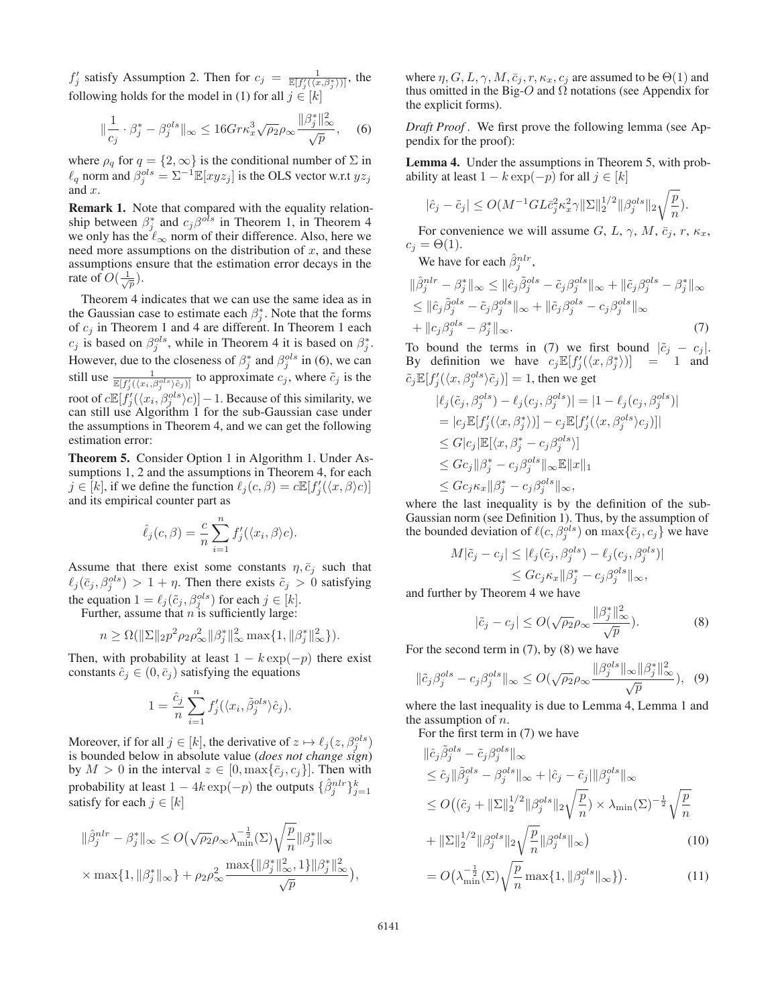$f'_j$  satisfy Assumption 2. Then for  $c_j = \frac{1}{\mathbb{E}[f'_j((x,\beta_j^*))]}$ , the following holds for the model in (1) for all  $j \in [k]$ 

$$
\|\frac{1}{c_j} \cdot \beta_j^* - \beta_j^{ols}\|_{\infty} \le 16 G r \kappa_x^3 \sqrt{\rho_2} \rho_{\infty} \frac{\|\beta_j^*\|_{\infty}^2}{\sqrt{p}}, \quad (6)
$$

where  $\rho_q$  for  $q = \{2, \infty\}$  is the conditional number of  $\Sigma$  in  $\ell_q$  norm and  $\beta_j^{ols} = \Sigma^{-1} \mathbb{E}[xyz_j]$  is the OLS vector w.r.t  $yz_j$  and x and x.

**Remark 1.** Note that compared with the equality relationship between  $\beta_j^*$  and  $c_j \beta^{ols}$  in Theorem 1, in Theorem 4 we only has the  $\ell_{-}$  norm of their difference. Also here we we only has the  $\ell_{\infty}$  norm of their difference. Also, here we need more assumptions on the distribution of x and these need more assumptions on the distribution of  $x$ , and these assumptions ensure that the estimation error decays in the rate of  $O(\frac{1}{\sqrt{p}})$ .

Theorem 4 indicates that we can use the same idea as in the Gaussian case to estimate each  $\beta_j^*$ . Note that the forms of  $c_i$  in Theorem 1 and 4 are different. In Theorem 1 each of  $c_j$  in Theorem 1 and 4 are different. In Theorem 1 each  $c_j$  is based on  $\beta_j^{ols}$ , while in Theorem 4 it is based on  $\beta_j^*$ .<br>However, due to the algeonous of  $\beta^*$  and  $\beta_j^{ols}$  in (6), we can However, due to the closeness of  $\beta_j^*$  and  $\beta_j^{ols}$  in (6), we can<br>still use  $\frac{1}{\beta}$  to approximate  $\beta$  where  $\tilde{\beta}$  is the still use  $\frac{1}{\mathbb{E}[f_j'(\langle x_i, \beta_j^{ols}\rangle \tilde{c}_j)]}$  to approximate  $c_j$ , where  $\tilde{c}_j$  is the root of  $c\mathbb{E}[f'_{j}(\langle x_{i}, \beta^{ols}_{j}\rangle c)] - 1$ . Because of this similarity, we can still use Algorithm 1 for the sub-Gaussian case under can still use Algorithm 1 for the sub-Gaussian case under the assumptions in Theorem 4, and we can get the following estimation error:

Theorem 5. Consider Option 1 in Algorithm 1. Under Assumptions 1, 2 and the assumptions in Theorem 4, for each  $j \in [k]$ , if we define the function  $\ell_j(c, \beta) = c \mathbb{E}[f'_j(\langle x, \beta \rangle c)]$ <br>and its empirical counter part as and its empirical counter part as

$$
\hat{\ell}_j(c,\beta) = \frac{c}{n} \sum_{i=1}^n f'_j(\langle x_i, \beta \rangle c).
$$

Assume that there exist some constants  $\eta$ ,  $\bar{c}_i$  such that  $\ell_j(\bar{c}_j, \beta_j^{ols}) > 1 + \eta$ . Then there exists  $\tilde{c}_j > 0$  satisfying<br>the equation  $1 - \ell (\tilde{c} - \betaols)$  for each  $\delta \in [h]$ the equation  $1 = \ell_j(\tilde{c}_j, \beta_j^{ols})$  for each  $j \in [k]$ .<br>Further assume that *n* is sufficiently large:

Further, assume that  $n$  is sufficiently large:

$$
n \geq \Omega(||\Sigma||_2 p^2 \rho_2 \rho_\infty^2 ||\beta_j^*||_\infty^2 \max\{1, ||\beta_j^*||_\infty^2\}).
$$

Then, with probability at least  $1 - k \exp(-p)$  there exist constants  $\hat{c}_i \in (0, \bar{c}_i)$  satisfying the equations

$$
1 = \frac{\hat{c}_j}{n} \sum_{i=1}^n f'_j(\langle x_i, \tilde{\beta}_j^{ols} \rangle \hat{c}_j).
$$

Moreover, if for all  $j \in [k]$ , the derivative of  $z \mapsto \ell_i(z, \beta_i^{ols})$ Moreover, if for all  $j \in [\kappa]$ , the derivative of  $z \mapsto \ell_j(z, \beta_j^{z})$ <br>is bounded below in absolute value (*does not change sign*) by  $M > 0$  in the interval  $z \in [0, \max\{\bar{c}_j, c_j\}]$ . Then with probability at least  $1 - 4k \exp(-p)$  the outputs  $\{\hat{\beta}_j^{nlr}\}_{j=1}^k$ satisfy for each  $j \in [k]$ 

$$
\|\hat{\beta}_j^{nlr} - \beta_j^*\|_{\infty} \le O\left(\sqrt{\rho_2} \rho_{\infty} \lambda_{\min}^{-\frac{1}{2}}(\Sigma) \sqrt{\frac{p}{n}} \|\beta_j^*\|_{\infty} \right)
$$
  
 
$$
\times \max\{1, \|\beta_j^*\|_{\infty}\} + \rho_2 \rho_{\infty}^2 \frac{\max\{\|\beta_j^*\|_{\infty}^2, 1\}\|\beta_j^*\|_{\infty}^2}{\sqrt{p}} \Big),
$$

where  $\eta$ ,  $G$ ,  $L$ ,  $\gamma$ ,  $M$ ,  $\overline{c}_j$ ,  $r$ ,  $\kappa_x$ ,  $c_j$  are assumed to be  $\Theta(1)$  and thus omitted in the Big-O and  $\Omega$  notations (see Appendix for the explicit forms).

*Draft Proof .* We first prove the following lemma (see Appendix for the proof):

Lemma 4. Under the assumptions in Theorem 5, with probability at least  $1 - k \exp(-p)$  for all  $j \in [k]$ 

$$
|\hat{c}_j - \tilde{c}_j| \le O(M^{-1}GL\bar{c}_j^2\kappa_x^2\gamma \|\Sigma\|_2^{1/2} \|\beta_j^{ols}\|_2\sqrt{\frac{p}{n}}).
$$

For convenience we will assume G, L,  $\gamma$ , M,  $\bar{c}_j$ , r,  $\kappa_x$ ,  $= \Theta(1)$  $c_j = \Theta(1)$ .

We have for each  $\hat{\beta}_j^{nlr}$ ,

$$
\|\hat{\beta}_j^{nlr} - \beta_j^*\|_{\infty} \le \|\hat{c}_j \tilde{\beta}_j^{ols} - \tilde{c}_j \beta_j^{ols}\|_{\infty} + \|\tilde{c}_j \beta_j^{ols} - \beta_j^*\|_{\infty}
$$
  
\n
$$
\le \|\hat{c}_j \tilde{\beta}_j^{ols} - \tilde{c}_j \beta_j^{ols}\|_{\infty} + \|\tilde{c}_j \beta_j^{ols} - c_j \beta_j^{ols}\|_{\infty}
$$
  
\n
$$
+ \|c_j \beta_j^{ols} - \beta_j^*\|_{\infty}.
$$
  
\n(7)

To bound the terms in (7) we first bound  $|\tilde{c}_j - c_j|$ .<br>By definition we have  $c \in \mathbb{E}[f'(\langle x, \beta^* \rangle)] = 1$  and By definition we have  $c_j \mathbb{E}[f'_j(\langle x, \beta_j^* \rangle)] = 1$  and  $\tilde{z} \mathbb{E}[f'_j(\langle x, \beta_j^* \rangle)] = 1$  $\tilde{c}_j \mathbb{E}[f_j'(\langle x, \beta_j^{ols} \rangle \tilde{c}_j)] = 1$ , then we get

$$
|\ell_j(\tilde{c}_j, \beta_j^{ols}) - \ell_j(c_j, \beta_j^{ols})| = |1 - \ell_j(c_j, \beta_j^{ols})|
$$
  
\n
$$
= |c_j \mathbb{E}[f'_j(\langle x, \beta_j^* \rangle)] - c_j \mathbb{E}[f'_j(\langle x, \beta_j^{ols} \rangle c_j)]|
$$
  
\n
$$
\leq G|c_j|\mathbb{E}[\langle x, \beta_j^* - c_j \beta_j^{ols}]|
$$
  
\n
$$
\leq Gc_j||\beta_j^* - c_j \beta_j^{ols}||\infty \mathbb{E}||x||_1
$$
  
\n
$$
\leq Gc_j \kappa_x ||\beta_j^* - c_j \beta_j^{ols}||_{\infty},
$$
  
\nwhere the last inequality is by the definition of the sub-

Gaussian norm (see Definition 1). Thus, by the assumption of the bounded deviation of  $\ell(c, \beta_j^{ols})$  on  $\max{\{\bar{c}_j, c_j\}}$  we have

$$
M|\tilde{c}_j - c_j| \le |\ell_j(\tilde{c}_j, \beta_j^{ols}) - \ell_j(c_j, \beta_j^{ols})|
$$
  
\n
$$
\le Gc_j \kappa_x ||\beta_j^* - c_j \beta_j^{ols}||_{\infty},
$$
  
\nand further by Theorem 4 we have

$$
|\tilde{c}_j - c_j| \le O(\sqrt{\rho_2} \rho_\infty \frac{\|\beta_j^*\|_\infty^2}{\sqrt{p}}). \tag{8}
$$

For the second term in  $(7)$ , by  $(8)$  we have

$$
\|\tilde{c}_j \beta_j^{ols} - c_j \beta_j^{ols} \|_{\infty} \le O(\sqrt{\rho_2} \rho_{\infty} \frac{\|\beta_j^{ols}\|_{\infty} \|\beta_j^*\|_{\infty}^2}{\sqrt{p}}),
$$
 (9)  
where the last inequality is due to Lemma 4, Lemma 1 and

the assumption of  $n$ .

For the first term in (7) we have

$$
\|\hat{c}_j \tilde{\beta}_j^{ols} - \tilde{c}_j \beta_j^{ols} \|_{\infty}
$$
  
\n
$$
\leq \hat{c}_j \| \tilde{\beta}_j^{ols} - \beta_j^{ols} \|_{\infty} + |\hat{c}_j - \tilde{c}_j| \| \beta_j^{ols} \|_{\infty}
$$
  
\n
$$
\leq O\big((\tilde{c}_j + \|\Sigma\|_2^{1/2} \|\beta_j^{ols}\|_2 \sqrt{\frac{p}{n}}) \times \lambda_{\min}(\Sigma)^{-\frac{1}{2}} \sqrt{\frac{p}{n}}
$$
  
\n
$$
+ \|\Sigma\|_2^{1/2} \|\beta_j^{ols}\|_2 \sqrt{\frac{p}{n}} \|\beta_j^{ols}\|_{\infty} \big) \tag{10}
$$

$$
= O\left(\lambda_{\min}^{-\frac{1}{2}}(\Sigma)\sqrt{\frac{p}{n}}\max\{1, \|\beta_j^{ols}\|_{\infty}\}\right).
$$
 (11)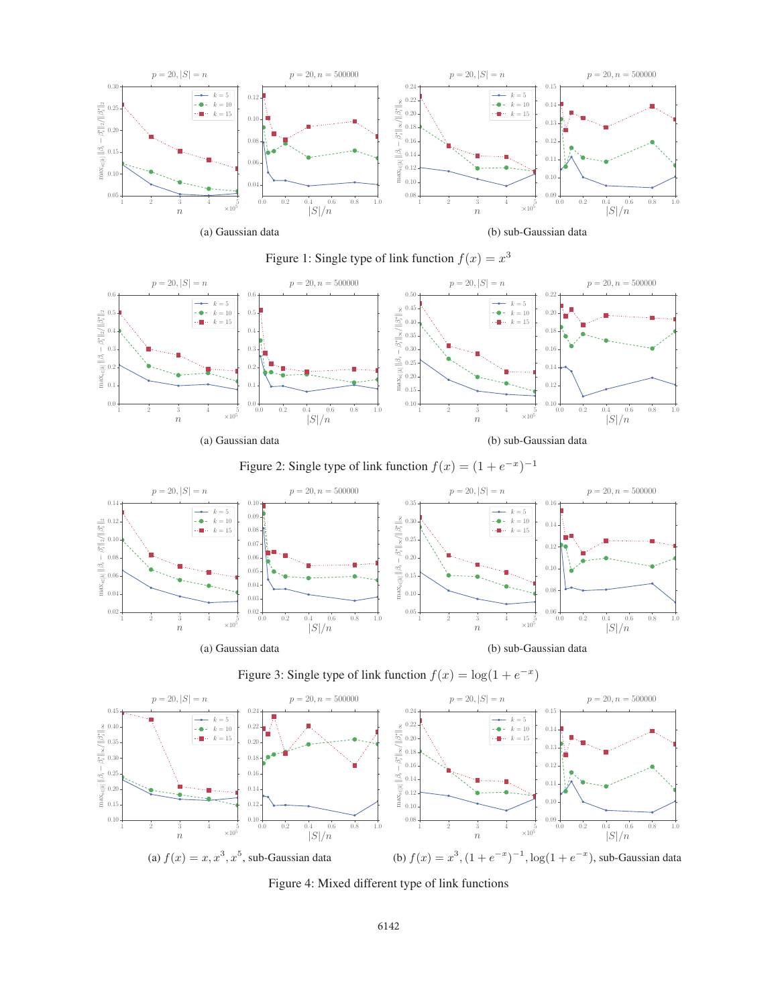









Figure 3: Single type of link function  $f(x) = \log(1 + e^{-x})$ 



Figure 4: Mixed different type of link functions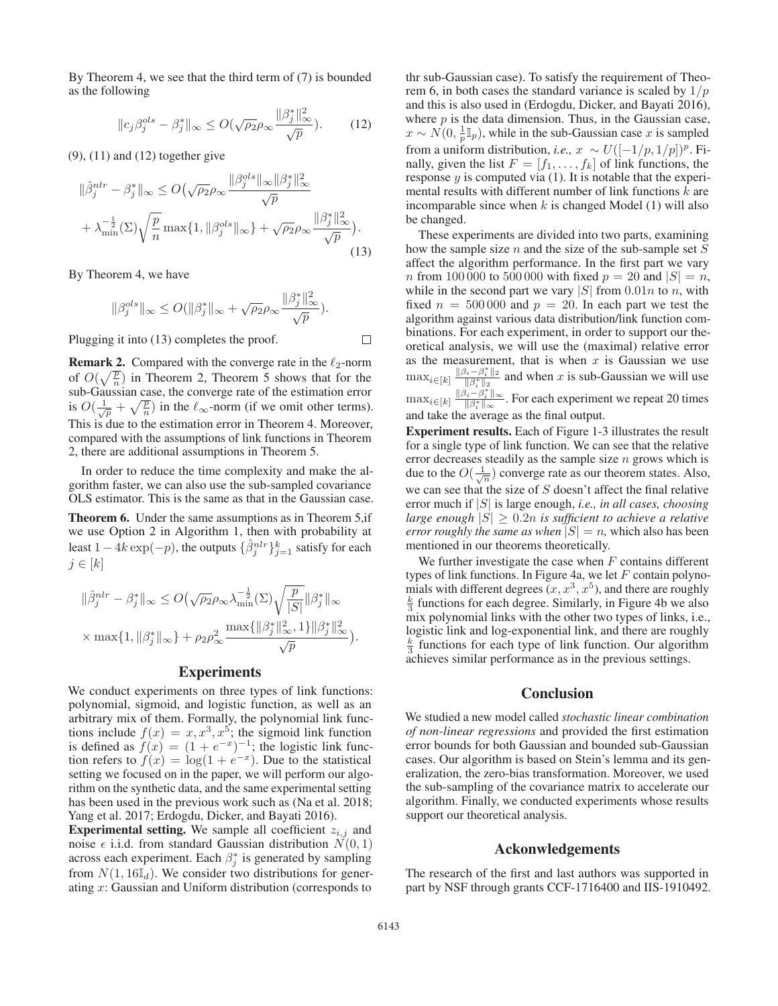By Theorem 4, we see that the third term of (7) is bounded as the following

$$
||c_j \beta_j^{ols} - \beta_j^*||_{\infty} \le O(\sqrt{\rho_2} \rho_{\infty} \frac{||\beta_j^*||_{\infty}^2}{\sqrt{p}}). \tag{12}
$$

(9), (11) and (12) together give

$$
\|\hat{\beta}_j^{nlr} - \beta_j^*\|_{\infty} \le O\left(\sqrt{\rho_2}\rho_{\infty}\frac{\|\beta_j^{ols}\|_{\infty}\|\beta_j^*\|_{\infty}^2}{\sqrt{p}} + \lambda_{\min}^{-\frac{1}{2}}(\Sigma)\sqrt{\frac{p}{n}}\max\{1, \|\beta_j^{ols}\|_{\infty}\} + \sqrt{\rho_2}\rho_{\infty}\frac{\|\beta_j^*\|_{\infty}^2}{\sqrt{p}}\right).
$$
\n(13)

By Theorem 4, we have

$$
\|\beta_j^{ols}\|_{\infty} \le O(\|\beta_j^*\|_{\infty} + \sqrt{\rho_2} \rho_{\infty} \frac{\|\beta_j^*\|_{\infty}^2}{\sqrt{p}}).
$$

Plugging it into (13) completes the proof.

**Remark 2.** Compared with the converge rate in the  $\ell_2$ -norm of  $O(\sqrt{\frac{p}{n}})$  in Theorem 2, Theorem 5 shows that for the sub-Gaussian case the converge rate of the estimation error sub-Gaussian case, the converge rate of the estimation error is  $O(\frac{1}{\sqrt{p}} + \sqrt{\frac{p}{n}})$  in the  $\ell_{\infty}$ -norm (if we omit other terms). This is due to the estimation error in Theorem 4. Moreover, compared with the assumptions of link functions in Theorem 2, there are additional assumptions in Theorem 5.

In order to reduce the time complexity and make the algorithm faster, we can also use the sub-sampled covariance OLS estimator. This is the same as that in the Gaussian case.

Theorem 6. Under the same assumptions as in Theorem 5,if we use Option 2 in Algorithm 1, then with probability at least  $1 - 4k \exp(-p)$ , the outputs  $\{\hat{\beta}_j^{nlr}\}_{j=1}^k$  satisfy for each  $i \in [k]$  $j \in [k]$ 

$$
\begin{aligned} &\|\hat{\beta}_j^{nlr}-\beta_j^*\|_\infty\leq O\big(\sqrt{\rho_2}\rho_\infty\lambda_{\min}^{-\frac{1}{2}}(\Sigma)\sqrt{\frac{p}{|S|}}\|\beta_j^*\|_\infty\\ &\times\max\{1,\|\beta_j^*\|_\infty\}+\rho_2\rho_\infty^2\frac{\max\{\|\beta_j^*\|_\infty^2,1\}\|\beta_j^*\|_\infty^2}{\sqrt{p}}\big) \end{aligned}
$$

#### Experiments

We conduct experiments on three types of link functions: polynomial, sigmoid, and logistic function, as well as an arbitrary mix of them. Formally, the polynomial link functions include  $f(x) = x, x^3, x^5$ ; the sigmoid link function is defined as  $f(x) = (1 + e^{-x})^{-1}$ ; the logistic link function refers to  $f(x) = \log(1 + e^{-x})$ . Due to the statistical setting we focused on in the paper, we will perform our algorithm on the synthetic data, and the same experimental setting has been used in the previous work such as (Na et al. 2018; Yang et al. 2017; Erdogdu, Dicker, and Bayati 2016).

**Experimental setting.** We sample all coefficient  $z_{i,j}$  and noise  $\epsilon$  i.i.d. from standard Gaussian distribution  $N(0, 1)$ across each experiment. Each  $\beta_j^*$  is generated by sampling<br>from  $N(1, 16\mathbb{I})$ . We consider two distributions for gener from  $N(1, 16\mathbb{I}_d)$ . We consider two distributions for generating x: Gaussian and Uniform distribution (corresponds to

thr sub-Gaussian case). To satisfy the requirement of Theorem 6, in both cases the standard variance is scaled by  $1/p$ and this is also used in (Erdogdu, Dicker, and Bayati 2016), where  $p$  is the data dimension. Thus, in the Gaussian case,  $x \sim N(0, \frac{1}{p} \mathbb{I}_p)$ , while in the sub-Gaussian case x is sampled<br>from a uniform distribution i.e.  $x \sim U(\frac{1}{p} 1/\sqrt{p})^p$ . from a uniform distribution, *i.e.*,  $x \sim U([-1/p, 1/p])^p$ . Finally, given the list  $F = [f_1, \ldots, f_k]$  of link functions, the response  $y$  is computed via (1). It is notable that the experimental results with different number of link functions  $k$  are incomparable since when  $k$  is changed Model (1) will also be changed.

These experiments are divided into two parts, examining how the sample size  $n$  and the size of the sub-sample set  $S$ affect the algorithm performance. In the first part we vary *n* from 100 000 to 500 000 with fixed  $p = 20$  and  $|S| = n$ , while in the second part we vary  $|S|$  from  $0.01n$  to n, with fixed  $n = 500000$  and  $p = 20$ . In each part we test the algorithm against various data distribution/link function combinations. For each experiment, in order to support our theoretical analysis, we will use the (maximal) relative error as the measurement, that is when x is Gaussian we use<br>may  $\lim_{n \to \infty} \frac{\|\beta_i - \beta_i^*\|_2}{\|2\|_2}$  and when x is sub Gaussian we will use  $\max_{i \in [k]} \frac{\|\beta_i - \beta_i^*\|_2}{\|\beta_i^*\|_2}$  and when x is sub-Gaussian we will use  $\max_{i \in [k]} \frac{\|\beta_i - \beta_i^*\|_{\infty}}{\|\beta_i^*\|_{\infty}}$ . For each experiment we repeat 20 times and take the average as the final output.

Experiment results. Each of Figure 1-3 illustrates the result for a single type of link function. We can see that the relative error decreases steadily as the sample size  $n$  grows which is due to the  $O(\frac{1}{\sqrt{n}})$  converge rate as our theorem states. Also, we can see that the size of  $S$  doesn't affect the final relative error much if <sup>|</sup>S<sup>|</sup> is large enough, *i.e., in all cases, choosing large enough*  $|S| \geq 0.2n$  *is sufficient to achieve a relative error roughly the same as when*  $|S| = n$ , which also has been mentioned in our theorems theoretically.

We further investigate the case when  $F$  contains different types of link functions. In Figure 4a, we let  $F$  contain polynotypes of link functions. In Figure 4a, we let F contain polyno-<br>mials with different degrees  $(r r^3 r^5)$  and there are roughly mials with different degrees  $(x, x^3, x^5)$ , and there are roughly  $\frac{k}{2}$  functions for each degree. Similarly in Figure 4b we also  $\frac{k}{3}$  functions for each degree. Similarly, in Figure 4b we also mix polynomial links with the other two types of links, i.e., logistic link and log-exponential link, and there are roughly  $\frac{k}{3}$  functions for each type of link function. Our algorithm achieves similar performance as in the previous settings.

#### Conclusion

We studied a new model called *stochastic linear combination of non-linear regressions* and provided the first estimation error bounds for both Gaussian and bounded sub-Gaussian cases. Our algorithm is based on Stein's lemma and its generalization, the zero-bias transformation. Moreover, we used the sub-sampling of the covariance matrix to accelerate our algorithm. Finally, we conducted experiments whose results support our theoretical analysis.

#### Ackonwledgements

The research of the first and last authors was supported in part by NSF through grants CCF-1716400 and IIS-1910492.

 $\Box$